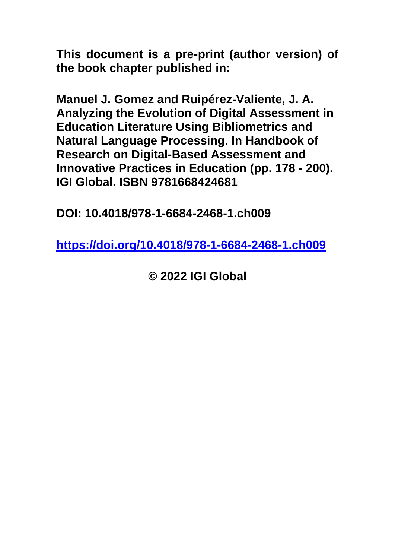**This document is a pre-print (author version) of the book chapter published in:**

**Manuel J. Gomez and Ruipérez-Valiente, J. A. Analyzing the Evolution of Digital Assessment in Education Literature Using Bibliometrics and Natural Language Processing. In Handbook of Research on Digital-Based Assessment and Innovative Practices in Education (pp. 178 - 200). IGI Global. ISBN 9781668424681**

**DOI: 10.4018/978-1-6684-2468-1.ch009**

**<https://doi.org/10.4018/978-1-6684-2468-1.ch009>**

**© 2022 IGI Global**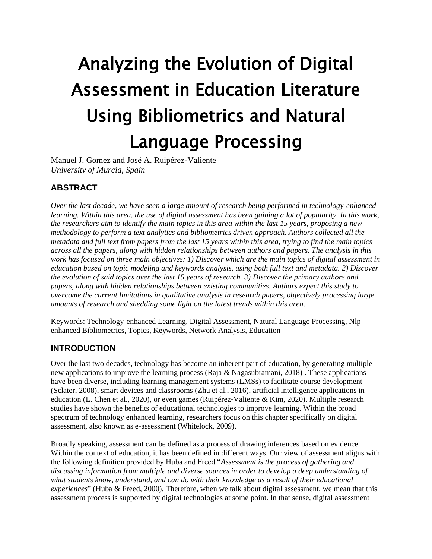# Analyzing the Evolution of Digital Assessment in Education Literature Using Bibliometrics and Natural Language Processing

Manuel J. Gomez and José A. Ruipérez-Valiente *University of Murcia, Spain*

# **ABSTRACT**

*Over the last decade, we have seen a large amount of research being performed in technology-enhanced learning. Within this area, the use of digital assessment has been gaining a lot of popularity. In this work, the researchers aim to identify the main topics in this area within the last 15 years, proposing a new methodology to perform a text analytics and bibliometrics driven approach. Authors collected all the metadata and full text from papers from the last 15 years within this area, trying to find the main topics across all the papers, along with hidden relationships between authors and papers. The analysis in this work has focused on three main objectives: 1) Discover which are the main topics of digital assessment in education based on topic modeling and keywords analysis, using both full text and metadata. 2) Discover the evolution of said topics over the last 15 years of research. 3) Discover the primary authors and papers, along with hidden relationships between existing communities. Authors expect this study to overcome the current limitations in qualitative analysis in research papers, objectively processing large amounts of research and shedding some light on the latest trends within this area.*

Keywords: Technology-enhanced Learning, Digital Assessment, Natural Language Processing, Nlpenhanced Bibliometrics, Topics, Keywords, Network Analysis, Education

# **INTRODUCTION**

Over the last two decades, technology has become an inherent part of education, by generating multiple new applications to improve the learning process (Raja & Nagasubramani, 2018) . These applications have been diverse, including learning management systems (LMSs) to facilitate course development (Sclater, 2008), smart devices and classrooms (Zhu et al., 2016), artificial intelligence applications in education (L. Chen et al., 2020), or even games (Ruipérez-Valiente & Kim, 2020). Multiple research studies have shown the benefits of educational technologies to improve learning. Within the broad spectrum of technology enhanced learning, researchers focus on this chapter specifically on digital assessment, also known as e-assessment (Whitelock, 2009).

Broadly speaking, assessment can be defined as a process of drawing inferences based on evidence. Within the context of education, it has been defined in different ways. Our view of assessment aligns with the following definition provided by Huba and Freed "*Assessment is the process of gathering and discussing information from multiple and diverse sources in order to develop a deep understanding of what students know, understand, and can do with their knowledge as a result of their educational experiences*" (Huba & Freed, 2000). Therefore, when we talk about digital assessment, we mean that this assessment process is supported by digital technologies at some point. In that sense, digital assessment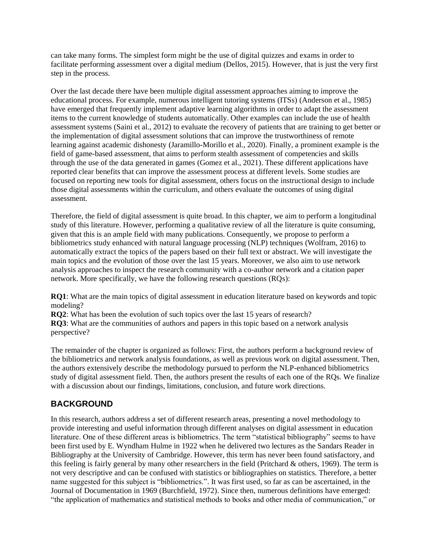can take many forms. The simplest form might be the use of digital quizzes and exams in order to facilitate performing assessment over a digital medium (Dellos, 2015). However, that is just the very first step in the process.

Over the last decade there have been multiple digital assessment approaches aiming to improve the educational process. For example, numerous intelligent tutoring systems (ITSs) (Anderson et al., 1985) have emerged that frequently implement adaptive learning algorithms in order to adapt the assessment items to the current knowledge of students automatically. Other examples can include the use of health assessment systems (Saini et al., 2012) to evaluate the recovery of patients that are training to get better or the implementation of digital assessment solutions that can improve the trustworthiness of remote learning against academic dishonesty (Jaramillo-Morillo et al., 2020). Finally, a prominent example is the field of game-based assessment, that aims to perform stealth assessment of competencies and skills through the use of the data generated in games (Gomez et al., 2021). These different applications have reported clear benefits that can improve the assessment process at different levels. Some studies are focused on reporting new tools for digital assessment, others focus on the instructional design to include those digital assessments within the curriculum, and others evaluate the outcomes of using digital assessment.

Therefore, the field of digital assessment is quite broad. In this chapter, we aim to perform a longitudinal study of this literature. However, performing a qualitative review of all the literature is quite consuming, given that this is an ample field with many publications. Consequently, we propose to perform a bibliometrics study enhanced with natural language processing (NLP) techniques (Wolfram, 2016) to automatically extract the topics of the papers based on their full text or abstract. We will investigate the main topics and the evolution of those over the last 15 years. Moreover, we also aim to use network analysis approaches to inspect the research community with a co-author network and a citation paper network. More specifically, we have the following research questions (RQs):

**RQ1**: What are the main topics of digital assessment in education literature based on keywords and topic modeling?

**RQ2**: What has been the evolution of such topics over the last 15 years of research?

**RQ3**: What are the communities of authors and papers in this topic based on a network analysis perspective?

The remainder of the chapter is organized as follows: First, the authors perform a background review of the bibliometrics and network analysis foundations, as well as previous work on digital assessment. Then, the authors extensively describe the methodology pursued to perform the NLP-enhanced bibliometrics study of digital assessment field. Then, the authors present the results of each one of the RQs. We finalize with a discussion about our findings, limitations, conclusion, and future work directions.

# **BACKGROUND**

In this research, authors address a set of different research areas, presenting a novel methodology to provide interesting and useful information through different analyses on digital assessment in education literature. One of these different areas is bibliometrics. The term "statistical bibliography" seems to have been first used by E. Wyndham Hulme in 1922 when he delivered two lectures as the Sandars Reader in Bibliography at the University of Cambridge. However, this term has never been found satisfactory, and this feeling is fairly general by many other researchers in the field (Pritchard  $\&$  others, 1969). The term is not very descriptive and can be confused with statistics or bibliographies on statistics. Therefore, a better name suggested for this subject is "bibliometrics.". It was first used, so far as can be ascertained, in the Journal of Documentation in 1969 (Burchfield, 1972). Since then, numerous definitions have emerged: "the application of mathematics and statistical methods to books and other media of communication," or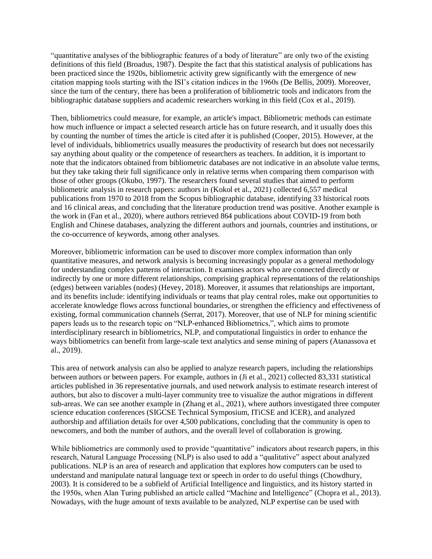"quantitative analyses of the bibliographic features of a body of literature" are only two of the existing definitions of this field (Broadus, 1987). Despite the fact that this statistical analysis of publications has been practiced since the 1920s, bibliometric activity grew significantly with the emergence of new citation mapping tools starting with the ISI's citation indices in the 1960s (De Bellis, 2009). Moreover, since the turn of the century, there has been a proliferation of bibliometric tools and indicators from the bibliographic database suppliers and academic researchers working in this field (Cox et al., 2019).

Then, bibliometrics could measure, for example, an article's impact. Bibliometric methods can estimate how much influence or impact a selected research article has on future research, and it usually does this by counting the number of times the article is cited after it is published (Cooper, 2015). However, at the level of individuals, bibliometrics usually measures the productivity of research but does not necessarily say anything about quality or the competence of researchers as teachers. In addition, it is important to note that the indicators obtained from bibliometric databases are not indicative in an absolute value terms, but they take taking their full significance only in relative terms when comparing them comparison with those of other groups (Okubo, 1997). The researchers found several studies that aimed to perform bibliometric analysis in research papers: authors in (Kokol et al., 2021) collected 6,557 medical publications from 1970 to 2018 from the Scopus bibliographic database, identifying 33 historical roots and 16 clinical areas, and concluding that the literature production trend was positive. Another example is the work in (Fan et al., 2020), where authors retrieved 864 publications about COVID-19 from both English and Chinese databases, analyzing the different authors and journals, countries and institutions, or the co-occurrence of keywords, among other analyses.

Moreover, bibliometric information can be used to discover more complex information than only quantitative measures, and network analysis is becoming increasingly popular as a general methodology for understanding complex patterns of interaction. It examines actors who are connected directly or indirectly by one or more different relationships, comprising graphical representations of the relationships (edges) between variables (nodes) (Hevey, 2018). Moreover, it assumes that relationships are important, and its benefits include: identifying individuals or teams that play central roles, make out opportunities to accelerate knowledge flows across functional boundaries, or strengthen the efficiency and effectiveness of existing, formal communication channels (Serrat, 2017). Moreover, that use of NLP for mining scientific papers leads us to the research topic on "NLP-enhanced Bibliometrics,", which aims to promote interdisciplinary research in bibliometrics, NLP, and computational linguistics in order to enhance the ways bibliometrics can benefit from large-scale text analytics and sense mining of papers (Atanassova et al., 2019).

This area of network analysis can also be applied to analyze research papers, including the relationships between authors or between papers. For example, authors in (Ji et al., 2021) collected 83,331 statistical articles published in 36 representative journals, and used network analysis to estimate research interest of authors, but also to discover a multi-layer community tree to visualize the author migrations in different sub-areas. We can see another example in (Zhang et al., 2021), where authors investigated three computer science education conferences (SIGCSE Technical Symposium, ITiCSE and ICER), and analyzed authorship and affiliation details for over 4,500 publications, concluding that the community is open to newcomers, and both the number of authors, and the overall level of collaboration is growing.

While bibliometrics are commonly used to provide "quantitative" indicators about research papers, in this research, Natural Language Processing (NLP) is also used to add a "qualitative" aspect about analyzed publications. NLP is an area of research and application that explores how computers can be used to understand and manipulate natural language text or speech in order to do useful things (Chowdhury, 2003). It is considered to be a subfield of Artificial Intelligence and linguistics, and its history started in the 1950s, when Alan Turing published an article called "Machine and Intelligence" (Chopra et al., 2013). Nowadays, with the huge amount of texts available to be analyzed, NLP expertise can be used with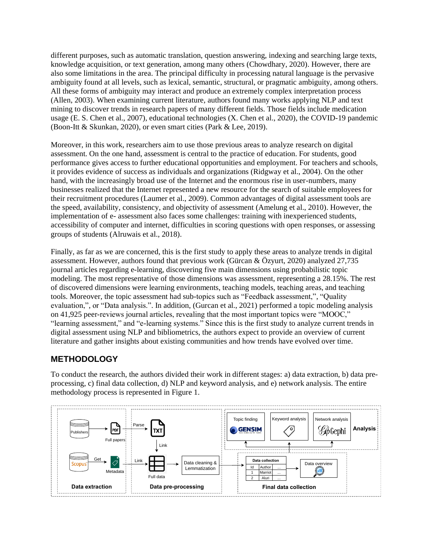different purposes, such as automatic translation, question answering, indexing and searching large texts, knowledge acquisition, or text generation, among many others (Chowdhary, 2020). However, there are also some limitations in the area. The principal difficulty in processing natural language is the pervasive ambiguity found at all levels, such as lexical, semantic, structural, or pragmatic ambiguity, among others. All these forms of ambiguity may interact and produce an extremely complex interpretation process (Allen, 2003). When examining current literature, authors found many works applying NLP and text mining to discover trends in research papers of many different fields. Those fields include medication usage (E. S. Chen et al., 2007), educational technologies (X. Chen et al., 2020), the COVID-19 pandemic (Boon-Itt & Skunkan, 2020), or even smart cities (Park & Lee, 2019).

Moreover, in this work, researchers aim to use those previous areas to analyze research on digital assessment. On the one hand, assessment is central to the practice of education. For students, good performance gives access to further educational opportunities and employment. For teachers and schools, it provides evidence of success as individuals and organizations (Ridgway et al., 2004). On the other hand, with the increasingly broad use of the Internet and the enormous rise in user-numbers, many businesses realized that the Internet represented a new resource for the search of suitable employees for their recruitment procedures (Laumer et al., 2009). Common advantages of digital assessment tools are the speed, availability, consistency, and objectivity of assessment (Amelung et al., 2010). However, the implementation of e- assessment also faces some challenges: training with inexperienced students, accessibility of computer and internet, difficulties in scoring questions with open responses, or assessing groups of students (Alruwais et al., 2018).

Finally, as far as we are concerned, this is the first study to apply these areas to analyze trends in digital assessment. However, authors found that previous work (Gürcan & Özyurt, 2020) analyzed 27,735 journal articles regarding e-learning, discovering five main dimensions using probabilistic topic modeling. The most representative of those dimensions was assessment, representing a 28.15%. The rest of discovered dimensions were learning environments, teaching models, teaching areas, and teaching tools. Moreover, the topic assessment had sub-topics such as "Feedback assessment,", "Quality evaluation,", or "Data analysis.". In addition, (Gurcan et al., 2021) performed a topic modeling analysis on 41,925 peer-reviews journal articles, revealing that the most important topics were "MOOC," "learning assessment," and "e-learning systems." Since this is the first study to analyze current trends in digital assessment using NLP and bibliometrics, the authors expect to provide an overview of current literature and gather insights about existing communities and how trends have evolved over time.

# **METHODOLOGY**

To conduct the research, the authors divided their work in different stages: a) data extraction, b) data preprocessing, c) final data collection, d) NLP and keyword analysis, and e) network analysis. The entire methodology process is represented in Figure 1.

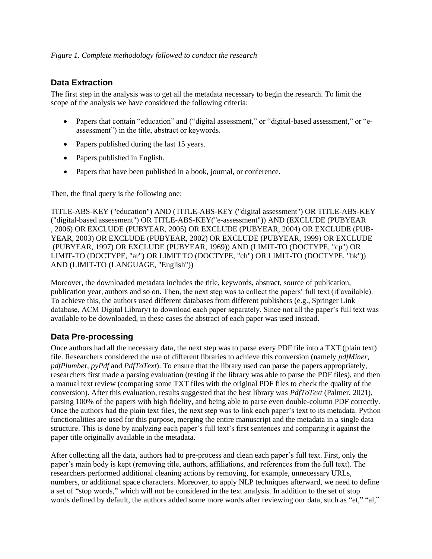# **Data Extraction**

The first step in the analysis was to get all the metadata necessary to begin the research. To limit the scope of the analysis we have considered the following criteria:

- Papers that contain "education" and ("digital assessment," or "digital-based assessment," or "eassessment") in the title, abstract or keywords.
- Papers published during the last 15 years.
- Papers published in English.
- Papers that have been published in a book, journal, or conference.

Then, the final query is the following one:

TITLE-ABS-KEY ("education") AND (TITLE-ABS-KEY ("digital assessment") OR TITLE-ABS-KEY ("digital-based assessment") OR TITLE-ABS-KEY("e-assessment")) AND (EXCLUDE (PUBYEAR , 2006) OR EXCLUDE (PUBYEAR, 2005) OR EXCLUDE (PUBYEAR, 2004) OR EXCLUDE (PUB-YEAR, 2003) OR EXCLUDE (PUBYEAR, 2002) OR EXCLUDE (PUBYEAR, 1999) OR EXCLUDE (PUBYEAR, 1997) OR EXCLUDE (PUBYEAR, 1969)) AND (LIMIT-TO (DOCTYPE, "cp") OR LIMIT-TO (DOCTYPE, "ar") OR LIMIT TO (DOCTYPE, "ch") OR LIMIT-TO (DOCTYPE, "bk")) AND (LIMIT-TO (LANGUAGE, "English"))

Moreover, the downloaded metadata includes the title, keywords, abstract, source of publication, publication year, authors and so on. Then, the next step was to collect the papers' full text (if available). To achieve this, the authors used different databases from different publishers (e.g., Springer Link database, ACM Digital Library) to download each paper separately. Since not all the paper's full text was available to be downloaded, in these cases the abstract of each paper was used instead.

# **Data Pre-processing**

Once authors had all the necessary data, the next step was to parse every PDF file into a TXT (plain text) file. Researchers considered the use of different libraries to achieve this conversion (namely *pdfMiner*, *pdfPlumbe*r, *pyPdf* and *PdfToText*). To ensure that the library used can parse the papers appropriately, researchers first made a parsing evaluation (testing if the library was able to parse the PDF files), and then a manual text review (comparing some TXT files with the original PDF files to check the quality of the conversion). After this evaluation, results suggested that the best library was *PdfToText* (Palmer, 2021), parsing 100% of the papers with high fidelity, and being able to parse even double-column PDF correctly. Once the authors had the plain text files, the next step was to link each paper's text to its metadata. Python functionalities are used for this purpose, merging the entire manuscript and the metadata in a single data structure. This is done by analyzing each paper's full text's first sentences and comparing it against the paper title originally available in the metadata.

After collecting all the data, authors had to pre-process and clean each paper's full text. First, only the paper's main body is kept (removing title, authors, affiliations, and references from the full text). The researchers performed additional cleaning actions by removing, for example, unnecessary URLs, numbers, or additional space characters. Moreover, to apply NLP techniques afterward, we need to define a set of "stop words," which will not be considered in the text analysis. In addition to the set of stop words defined by default, the authors added some more words after reviewing our data, such as "et," "al,"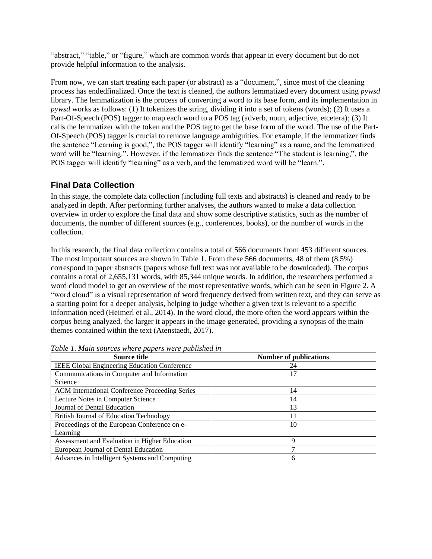"abstract," "table," or "figure," which are common words that appear in every document but do not provide helpful information to the analysis.

From now, we can start treating each paper (or abstract) as a "document,", since most of the cleaning process has endedfinalized. Once the text is cleaned, the authors lemmatized every document using *pywsd*  library. The lemmatization is the process of converting a word to its base form, and its implementation in *pywsd* works as follows: (1) It tokenizes the string, dividing it into a set of tokens (words); (2) It uses a Part-Of-Speech (POS) tagger to map each word to a POS tag (adverb, noun, adjective, etcetera); (3) It calls the lemmatizer with the token and the POS tag to get the base form of the word. The use of the Part-Of-Speech (POS) tagger is crucial to remove language ambiguities. For example, if the lemmatizer finds the sentence "Learning is good,", the POS tagger will identify "learning" as a name, and the lemmatized word will be "learning.". However, if the lemmatizer finds the sentence "The student is learning,", the POS tagger will identify "learning" as a verb, and the lemmatized word will be "learn.".

#### **Final Data Collection**

In this stage, the complete data collection (including full texts and abstracts) is cleaned and ready to be analyzed in depth. After performing further analyses, the authors wanted to make a data collection overview in order to explore the final data and show some descriptive statistics, such as the number of documents, the number of different sources (e.g., conferences, books), or the number of words in the collection.

In this research, the final data collection contains a total of 566 documents from 453 different sources. The most important sources are shown in Table 1. From these 566 documents, 48 of them (8.5%) correspond to paper abstracts (papers whose full text was not available to be downloaded). The corpus contains a total of 2,655,131 words, with 85,344 unique words. In addition, the researchers performed a word cloud model to get an overview of the most representative words, which can be seen in Figure 2. A "word cloud" is a visual representation of word frequency derived from written text, and they can serve as a starting point for a deeper analysis, helping to judge whether a given text is relevant to a specific information need (Heimerl et al., 2014). In the word cloud, the more often the word appears within the corpus being analyzed, the larger it appears in the image generated, providing a synopsis of the main themes contained within the text (Atenstaedt, 2017).

| Source title                                        | <b>Number of publications</b> |
|-----------------------------------------------------|-------------------------------|
| <b>IEEE Global Engineering Education Conference</b> | 24                            |
| Communications in Computer and Information          | 17                            |
| Science                                             |                               |
| ACM International Conference Proceeding Series      | 14                            |
| Lecture Notes in Computer Science                   | 14                            |
| Journal of Dental Education                         | 13                            |
| <b>British Journal of Education Technology</b>      | 11                            |
| Proceedings of the European Conference on e-        | 10                            |
| Learning                                            |                               |
| Assessment and Evaluation in Higher Education       | 9                             |
| European Journal of Dental Education                |                               |
| Advances in Intelligent Systems and Computing       | 6                             |

*Table 1. Main sources where papers were published in*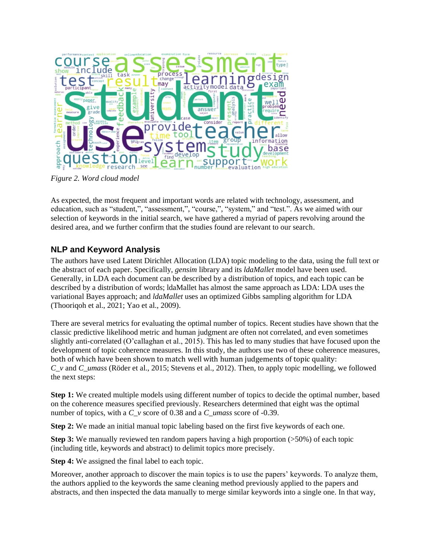

*Figure 2. Word cloud model*

As expected, the most frequent and important words are related with technology, assessment, and education, such as "student,", "assessment,", "course,", "system," and "test.". As we aimed with our selection of keywords in the initial search, we have gathered a myriad of papers revolving around the desired area, and we further confirm that the studies found are relevant to our search.

# **NLP and Keyword Analysis**

The authors have used Latent Dirichlet Allocation (LDA) topic modeling to the data, using the full text or the abstract of each paper. Specifically, *gensim* library and its *ldaMallet* model have been used. Generally, in LDA each document can be described by a distribution of topics, and each topic can be described by a distribution of words; ldaMallet has almost the same approach as LDA: LDA uses the variational Bayes approach; and *ldaMallet* uses an optimized Gibbs sampling algorithm for LDA (Thooriqoh et al., 2021; Yao et al., 2009).

There are several metrics for evaluating the optimal number of topics. Recent studies have shown that the classic predictive likelihood metric and human judgment are often not correlated, and even sometimes slightly anti-correlated (O'callaghan et al., 2015). This has led to many studies that have focused upon the development of topic coherence measures. In this study, the authors use two of these coherence measures, both of which have been shown to match well with human judgements of topic quality: *C\_v* and *C\_umass* (Röder et al., 2015; Stevens et al., 2012). Then, to apply topic modelling, we followed the next steps:

**Step 1:** We created multiple models using different number of topics to decide the optimal number, based on the coherence measures specified previously. Researchers determined that eight was the optimal number of topics, with a *C v* score of 0.38 and a *C\_umass* score of -0.39.

**Step 2:** We made an initial manual topic labeling based on the first five keywords of each one.

**Step 3:** We manually reviewed ten random papers having a high proportion (>50%) of each topic (including title, keywords and abstract) to delimit topics more precisely.

**Step 4:** We assigned the final label to each topic.

Moreover, another approach to discover the main topics is to use the papers' keywords. To analyze them, the authors applied to the keywords the same cleaning method previously applied to the papers and abstracts, and then inspected the data manually to merge similar keywords into a single one. In that way,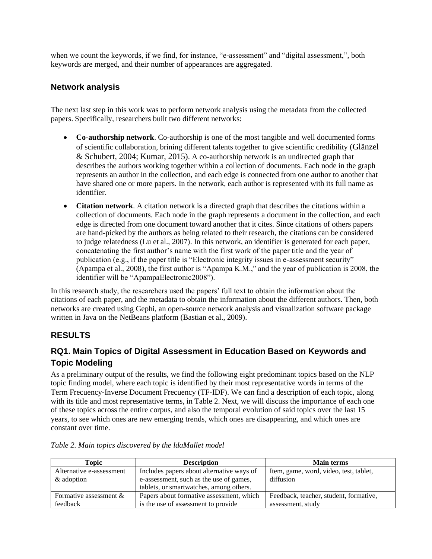when we count the keywords, if we find, for instance, "e-assessment" and "digital assessment,", both keywords are merged, and their number of appearances are aggregated.

# **Network analysis**

The next last step in this work was to perform network analysis using the metadata from the collected papers. Specifically, researchers built two different networks:

- **Co-authorship network**. Co-authorship is one of the most tangible and well documented forms of scientific collaboration, brining different talents together to give scientific credibility (Glänzel & Schubert, 2004; Kumar, 2015). A co-authorship network is an undirected graph that describes the authors working together within a collection of documents. Each node in the graph represents an author in the collection, and each edge is connected from one author to another that have shared one or more papers. In the network, each author is represented with its full name as identifier.
- **Citation network**. A citation network is a directed graph that describes the citations within a collection of documents. Each node in the graph represents a document in the collection, and each edge is directed from one document toward another that it cites. Since citations of others papers are hand-picked by the authors as being related to their research, the citations can be considered to judge relatedness (Lu et al., 2007). In this network, an identifier is generated for each paper, concatenating the first author's name with the first work of the paper title and the year of publication (e.g., if the paper title is "Electronic integrity issues in e-assessment security" (Apampa et al., 2008), the first author is "Apampa K.M.," and the year of publication is 2008, the identifier will be "ApampaElectronic2008").

In this research study, the researchers used the papers' full text to obtain the information about the citations of each paper, and the metadata to obtain the information about the different authors. Then, both networks are created using Gephi, an open-source network analysis and visualization software package written in Java on the NetBeans platform (Bastian et al., 2009).

# **RESULTS**

# **RQ1. Main Topics of Digital Assessment in Education Based on Keywords and Topic Modeling**

As a preliminary output of the results, we find the following eight predominant topics based on the NLP topic finding model, where each topic is identified by their most representative words in terms of the Term Frecuency-Inverse Document Frecuency (TF-IDF). We can find a description of each topic, along with its title and most representative terms, in Table 2. Next, we will discuss the importance of each one of these topics across the entire corpus, and also the temporal evolution of said topics over the last 15 years, to see which ones are new emerging trends, which ones are disappearing, and which ones are constant over time.

| <b>Topic</b>             | <b>Description</b>                        | <b>Main terms</b>                      |
|--------------------------|-------------------------------------------|----------------------------------------|
| Alternative e-assessment | Includes papers about alternative ways of | Item, game, word, video, test, tablet, |
| & adoption               | e-assessment, such as the use of games,   | diffusion                              |
|                          | tablets, or smartwatches, among others.   |                                        |
| Formative assessment $&$ | Papers about formative assessment, which  | Feedback, teacher, student, formative, |
| feedback                 | is the use of assessment to provide       | assessment, study                      |

*Table 2. Main topics discovered by the ldaMallet model*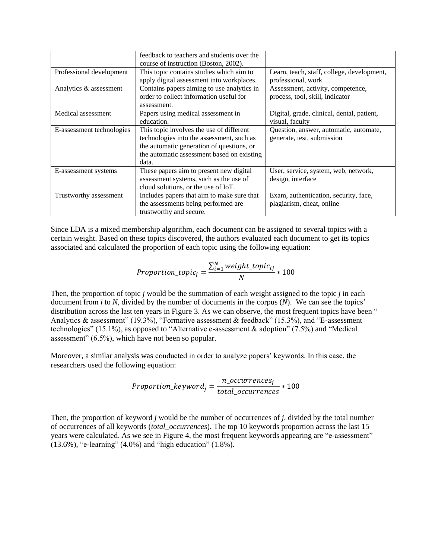|                           | feedback to teachers and students over the |                                            |
|---------------------------|--------------------------------------------|--------------------------------------------|
|                           | course of instruction (Boston, 2002).      |                                            |
| Professional development  | This topic contains studies which aim to   | Learn, teach, staff, college, development, |
|                           | apply digital assessment into workplaces.  | professional, work                         |
| Analytics & assessment    | Contains papers aiming to use analytics in | Assessment, activity, competence,          |
|                           | order to collect information useful for    | process, tool, skill, indicator            |
|                           | assessment.                                |                                            |
| Medical assessment        | Papers using medical assessment in         | Digital, grade, clinical, dental, patient, |
|                           | education.                                 | visual, faculty                            |
| E-assessment technologies | This topic involves the use of different   | Question, answer, automatic, automate,     |
|                           | technologies into the assessment, such as  | generate, test, submission                 |
|                           | the automatic generation of questions, or  |                                            |
|                           | the automatic assessment based on existing |                                            |
|                           | data.                                      |                                            |
| E-assessment systems      | These papers aim to present new digital    | User, service, system, web, network,       |
|                           | assessment systems, such as the use of     | design, interface                          |
|                           | cloud solutions, or the use of IoT.        |                                            |
| Trustworthy assessment    | Includes papers that aim to make sure that | Exam, authentication, security, face,      |
|                           | the assessments being performed are        | plagiarism, cheat, online                  |
|                           | trustworthy and secure.                    |                                            |

Since LDA is a mixed membership algorithm, each document can be assigned to several topics with a certain weight. Based on these topics discovered, the authors evaluated each document to get its topics associated and calculated the proportion of each topic using the following equation:

$$
Proportion\_topic_j = \frac{\sum_{i=1}^{N} weight\_topic_{ij}}{N} * 100
$$

Then, the proportion of topic *j* would be the summation of each weight assigned to the topic *j* in each document from *i* to *N*, divided by the number of documents in the corpus (*N*). We can see the topics' distribution across the last ten years in Figure 3. As we can observe, the most frequent topics have been " Analytics & assessment" (19.3%), "Formative assessment & feedback" (15.3%), and "E-assessment" technologies" (15.1%), as opposed to "Alternative e-assessment & adoption" (7.5%) and "Medical assessment" (6.5%), which have not been so popular.

Moreover, a similar analysis was conducted in order to analyze papers' keywords. In this case, the researchers used the following equation:

$$
Proportion\_keyword_j = \frac{n\_occurrences_j}{total\_occurrences} * 100
$$

Then, the proportion of keyword *j* would be the number of occurrences of *j*, divided by the total number of occurrences of all keywords (*total\_occurrences*). The top 10 keywords proportion across the last 15 years were calculated. As we see in Figure 4, the most frequent keywords appearing are "e-assessment" (13.6%), "e-learning" (4.0%) and "high education" (1.8%).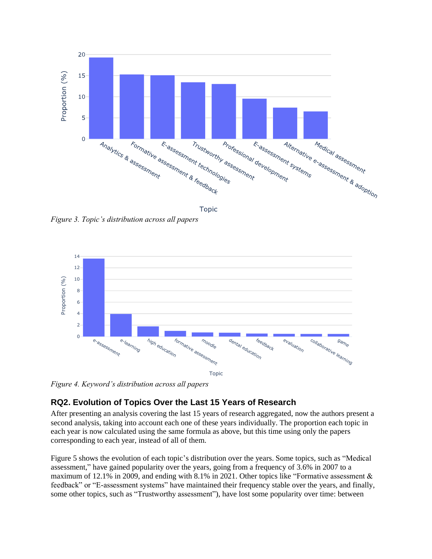

**Topic** 

*Figure 3. Topic's distribution across all papers*



*Figure 4. Keyword's distribution across all papers*

# **RQ2. Evolution of Topics Over the Last 15 Years of Research**

After presenting an analysis covering the last 15 years of research aggregated, now the authors present a second analysis, taking into account each one of these years individually. The proportion each topic in each year is now calculated using the same formula as above, but this time using only the papers corresponding to each year, instead of all of them.

Figure 5 shows the evolution of each topic's distribution over the years. Some topics, such as "Medical assessment," have gained popularity over the years, going from a frequency of 3.6% in 2007 to a maximum of 12.1% in 2009, and ending with 8.1% in 2021. Other topics like "Formative assessment & feedback" or "E-assessment systems" have maintained their frequency stable over the years, and finally, some other topics, such as "Trustworthy assessment"), have lost some popularity over time: between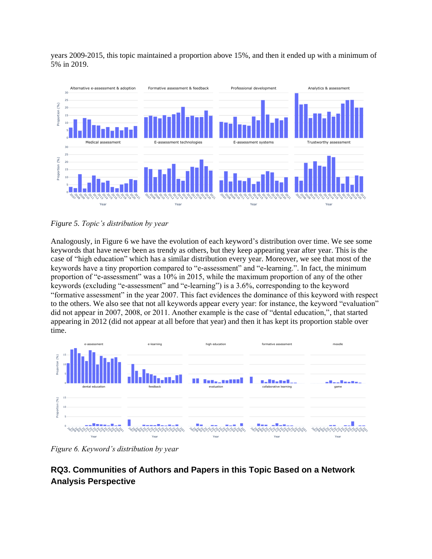years 2009-2015, this topic maintained a proportion above 15%, and then it ended up with a minimum of 5% in 2019.



*Figure 5. Topic's distribution by year*

Analogously, in Figure 6 we have the evolution of each keyword's distribution over time. We see some keywords that have never been as trendy as others, but they keep appearing year after year. This is the case of "high education" which has a similar distribution every year. Moreover, we see that most of the keywords have a tiny proportion compared to "e-assessment" and "e-learning.". In fact, the minimum proportion of "e-assessment" was a 10% in 2015, while the maximum proportion of any of the other keywords (excluding "e-assessment" and "e-learning") is a 3.6%, corresponding to the keyword "formative assessment" in the year 2007. This fact evidences the dominance of this keyword with respect to the others. We also see that not all keywords appear every year: for instance, the keyword "evaluation" did not appear in 2007, 2008, or 2011. Another example is the case of "dental education,", that started appearing in 2012 (did not appear at all before that year) and then it has kept its proportion stable over time.



*Figure 6. Keyword's distribution by year*

# **RQ3. Communities of Authors and Papers in this Topic Based on a Network Analysis Perspective**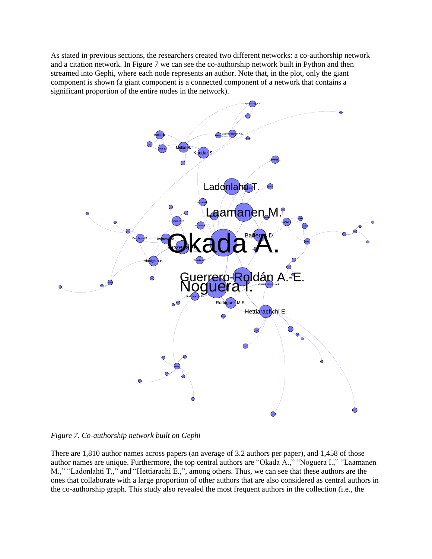As stated in previous sections, the researchers created two different networks: a co-authorship network and a citation network. In Figure 7 we can see the co-authorship network built in Python and then streamed into Gephi, where each node represents an author. Note that, in the plot, only the giant component is shown (a giant component is a connected component of a network that contains a significant proportion of the entire nodes in the network).



*Figure 7. Co-authorship network built on Gephi*

There are 1,810 author names across papers (an average of 3.2 authors per paper), and 1,458 of those author names are unique. Furthermore, the top central authors are "Okada A.," "Noguera I.," "Laamanen M.," "Ladonlahti T.," and "Hettiarachi E.,", among others. Thus, we can see that these authors are the ones that collaborate with a large proportion of other authors that are also considered as central authors in the co-authorship graph. This study also revealed the most frequent authors in the collection (i.e., the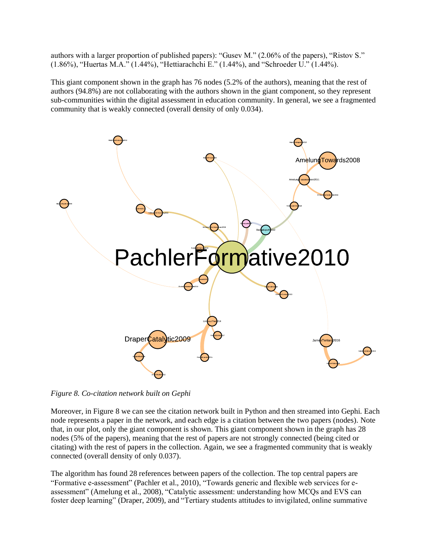authors with a larger proportion of published papers): "Gusev M." (2.06% of the papers), "Ristov S." (1.86%), "Huertas M.A." (1.44%), "Hettiarachchi E." (1.44%), and "Schroeder U." (1.44%).

This giant component shown in the graph has 76 nodes (5.2% of the authors), meaning that the rest of authors (94.8%) are not collaborating with the authors shown in the giant component, so they represent sub-communities within the digital assessment in education community. In general, we see a fragmented community that is weakly connected (overall density of only 0.034).



*Figure 8. Co-citation network built on Gephi*

Moreover, in Figure 8 we can see the citation network built in Python and then streamed into Gephi*.* Each node represents a paper in the network, and each edge is a citation between the two papers (nodes). Note that, in our plot, only the giant component is shown. This giant component shown in the graph has 28 nodes (5% of the papers), meaning that the rest of papers are not strongly connected (being cited or citating) with the rest of papers in the collection. Again, we see a fragmented community that is weakly connected (overall density of only 0.037).

The algorithm has found 28 references between papers of the collection. The top central papers are "Formative e-assessment" (Pachler et al., 2010), "Towards generic and flexible web services for eassessment" (Amelung et al., 2008), "Catalytic assessment: understanding how MCQs and EVS can foster deep learning" (Draper, 2009), and "Tertiary students attitudes to invigilated, online summative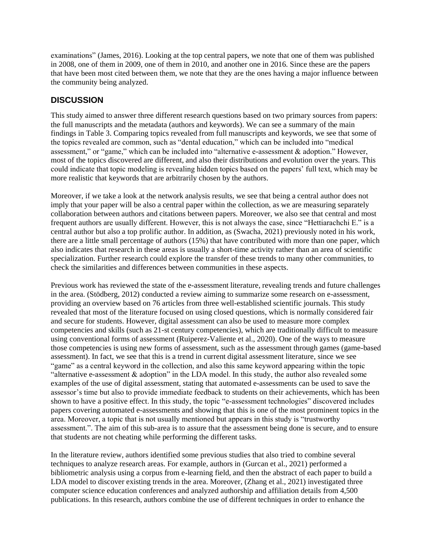examinations" (James, 2016). Looking at the top central papers, we note that one of them was published in 2008, one of them in 2009, one of them in 2010, and another one in 2016. Since these are the papers that have been most cited between them, we note that they are the ones having a major influence between the community being analyzed.

#### **DISCUSSION**

This study aimed to answer three different research questions based on two primary sources from papers: the full manuscripts and the metadata (authors and keywords). We can see a summary of the main findings in Table 3. Comparing topics revealed from full manuscripts and keywords, we see that some of the topics revealed are common, such as "dental education," which can be included into "medical assessment," or "game," which can be included into "alternative e-assessment & adoption." However, most of the topics discovered are different, and also their distributions and evolution over the years. This could indicate that topic modeling is revealing hidden topics based on the papers' full text, which may be more realistic that keywords that are arbitrarily chosen by the authors.

Moreover, if we take a look at the network analysis results, we see that being a central author does not imply that your paper will be also a central paper within the collection, as we are measuring separately collaboration between authors and citations between papers. Moreover, we also see that central and most frequent authors are usually different. However, this is not always the case, since "Hettiarachchi E." is a central author but also a top prolific author. In addition, as (Swacha, 2021) previously noted in his work, there are a little small percentage of authors (15%) that have contributed with more than one paper, which also indicates that research in these areas is usually a short-time activity rather than an area of scientific specialization. Further research could explore the transfer of these trends to many other communities, to check the similarities and differences between communities in these aspects.

Previous work has reviewed the state of the e-assessment literature, revealing trends and future challenges in the area. (Stödberg, 2012) conducted a review aiming to summarize some research on e-assessment, providing an overview based on 76 articles from three well-established scientific journals. This study revealed that most of the literature focused on using closed questions, which is normally considered fair and secure for students. However, digital assessment can also be used to measure more complex competencies and skills (such as 21-st century competencies), which are traditionally difficult to measure using conventional forms of assessment (Ruiperez-Valiente et al., 2020). One of the ways to measure those competencies is using new forms of assessment, such as the assessment through games (game-based assessment). In fact, we see that this is a trend in current digital assessment literature, since we see "game" as a central keyword in the collection, and also this same keyword appearing within the topic "alternative e-assessment & adoption" in the LDA model. In this study, the author also revealed some examples of the use of digital assessment, stating that automated e-assessments can be used to save the assessor's time but also to provide immediate feedback to students on their achievements, which has been shown to have a positive effect. In this study, the topic "e-assessment technologies" discovered includes papers covering automated e-assessments and showing that this is one of the most prominent topics in the area. Moreover, a topic that is not usually mentioned but appears in this study is "trustworthy assessment.". The aim of this sub-area is to assure that the assessment being done is secure, and to ensure that students are not cheating while performing the different tasks.

In the literature review, authors identified some previous studies that also tried to combine several techniques to analyze research areas. For example, authors in (Gurcan et al., 2021) performed a bibliometric analysis using a corpus from e-learning field, and then the abstract of each paper to build a LDA model to discover existing trends in the area. Moreover, (Zhang et al., 2021) investigated three computer science education conferences and analyzed authorship and affiliation details from 4,500 publications. In this research, authors combine the use of different techniques in order to enhance the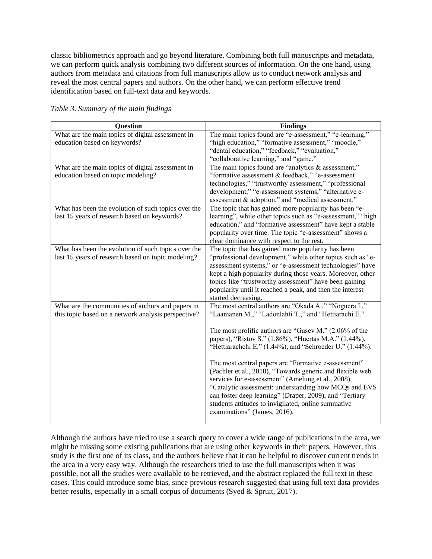classic bibliometrics approach and go beyond literature. Combining both full manuscripts and metadata, we can perform quick analysis combining two different sources of information. On the one hand, using authors from metadata and citations from full manuscripts allow us to conduct network analysis and reveal the most central papers and authors. On the other hand, we can perform effective trend identification based on full-text data and keywords.

| <b>Question</b>                                     | <b>Findings</b>                                             |
|-----------------------------------------------------|-------------------------------------------------------------|
| What are the main topics of digital assessment in   | The main topics found are "e-assessment," "e-learning,"     |
| education based on keywords?                        | "high education," "formative assessment," "moodle,"         |
|                                                     | "dental education," "feedback," "evaluation,"               |
|                                                     | "collaborative learning," and "game."                       |
| What are the main topics of digital assessment in   | The main topics found are "analytics & assessment,"         |
| education based on topic modeling?                  | "formative assessment & feedback," "e-assessment            |
|                                                     | technologies," "trustworthy assessment," "professional      |
|                                                     | development," "e-assessment systems," "alternative e-       |
|                                                     | assessment & adoption," and "medical assessment."           |
| What has been the evolution of such topics over the | The topic that has gained more popularity has been "e-      |
| last 15 years of research based on keywords?        | learning", while other topics such as "e-assessment," "high |
|                                                     | education," and "formative assessment" have kept a stable   |
|                                                     | popularity over time. The topic "e-assessment" shows a      |
|                                                     | clear dominance with respect to the rest.                   |
| What has been the evolution of such topics over the | The topic that has gained more popularity has been          |
| last 15 years of research based on topic modeling?  | "professional development," while other topics such as "e-  |
|                                                     | assessment systems," or "e-assessment technologies" have    |
|                                                     | kept a high popularity during those years. Moreover, other  |
|                                                     | topics like "trustworthy assessment" have been gaining      |
|                                                     | popularity until it reached a peak, and then the interest   |
|                                                     | started decreasing.                                         |
| What are the communities of authors and papers in   | The most central authors are "Okada A.," "Noguera I.,"      |
| this topic based on a network analysis perspective? | "Laamanen M.," "Ladonlahti T.," and "Hettiarachi E.".       |
|                                                     | The most prolific authors are "Gusev M." (2.06% of the      |
|                                                     | papers), "Ristov S." (1.86%), "Huertas M.A." (1.44%),       |
|                                                     | "Hettiarachchi E." (1.44%), and "Schroeder U." (1.44%).     |
|                                                     |                                                             |
|                                                     | The most central papers are "Formative e-assessment"        |
|                                                     | (Pachler et al., 2010), "Towards generic and flexible web   |
|                                                     | services for e-assessment" (Amelung et al., 2008),          |
|                                                     | "Catalytic assessment: understanding how MCQs and EVS       |
|                                                     | can foster deep learning" (Draper, 2009), and "Tertiary     |
|                                                     | students attitudes to invigilated, online summative         |
|                                                     | examinations" (James, 2016).                                |
|                                                     |                                                             |

*Table 3. Summary of the main findings* 

Although the authors have tried to use a search query to cover a wide range of publications in the area, we might be missing some existing publications that are using other keywords in their papers. However, this study is the first one of its class, and the authors believe that it can be helpful to discover current trends in the area in a very easy way. Although the researchers tried to use the full manuscripts when it was possible, not all the studies were available to be retrieved, and the abstract replaced the full text in these cases. This could introduce some bias, since previous research suggested that using full text data provides better results, especially in a small corpus of documents (Syed & Spruit, 2017).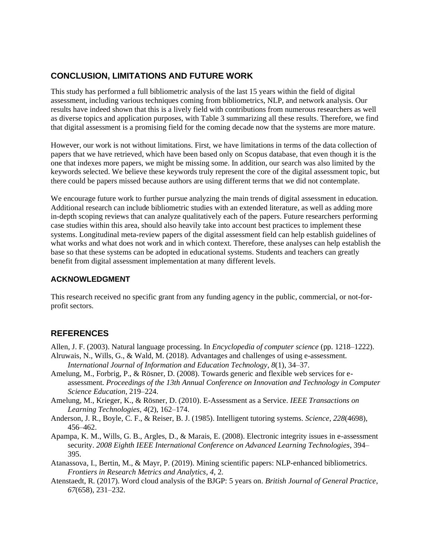# **CONCLUSION, LIMITATIONS AND FUTURE WORK**

This study has performed a full bibliometric analysis of the last 15 years within the field of digital assessment, including various techniques coming from bibliometrics, NLP, and network analysis. Our results have indeed shown that this is a lively field with contributions from numerous researchers as well as diverse topics and application purposes, with Table 3 summarizing all these results. Therefore, we find that digital assessment is a promising field for the coming decade now that the systems are more mature.

However, our work is not without limitations. First, we have limitations in terms of the data collection of papers that we have retrieved, which have been based only on Scopus database, that even though it is the one that indexes more papers, we might be missing some. In addition, our search was also limited by the keywords selected. We believe these keywords truly represent the core of the digital assessment topic, but there could be papers missed because authors are using different terms that we did not contemplate.

We encourage future work to further pursue analyzing the main trends of digital assessment in education. Additional research can include bibliometric studies with an extended literature, as well as adding more in-depth scoping reviews that can analyze qualitatively each of the papers. Future researchers performing case studies within this area, should also heavily take into account best practices to implement these systems. Longitudinal meta-review papers of the digital assessment field can help establish guidelines of what works and what does not work and in which context. Therefore, these analyses can help establish the base so that these systems can be adopted in educational systems. Students and teachers can greatly benefit from digital assessment implementation at many different levels.

#### **ACKNOWLEDGMENT**

This research received no specific grant from any funding agency in the public, commercial, or not-forprofit sectors.

# **REFERENCES**

Allen, J. F. (2003). Natural language processing. In *Encyclopedia of computer science* (pp. 1218–1222). Alruwais, N., Wills, G., & Wald, M. (2018). Advantages and challenges of using e-assessment.

- *International Journal of Information and Education Technology*, *8*(1), 34–37. Amelung, M., Forbrig, P., & Rösner, D. (2008). Towards generic and flexible web services for e-
- assessment. *Proceedings of the 13th Annual Conference on Innovation and Technology in Computer Science Education*, 219–224.
- Amelung, M., Krieger, K., & Rösner, D. (2010). E-Assessment as a Service. *IEEE Transactions on Learning Technologies*, *4*(2), 162–174.
- Anderson, J. R., Boyle, C. F., & Reiser, B. J. (1985). Intelligent tutoring systems. *Science*, *228*(4698), 456–462.
- Apampa, K. M., Wills, G. B., Argles, D., & Marais, E. (2008). Electronic integrity issues in e-assessment security. *2008 Eighth IEEE International Conference on Advanced Learning Technologies*, 394– 395.
- Atanassova, I., Bertin, M., & Mayr, P. (2019). Mining scientific papers: NLP-enhanced bibliometrics. *Frontiers in Research Metrics and Analytics*, *4*, 2.
- Atenstaedt, R. (2017). Word cloud analysis of the BJGP: 5 years on. *British Journal of General Practice*, *67*(658), 231–232.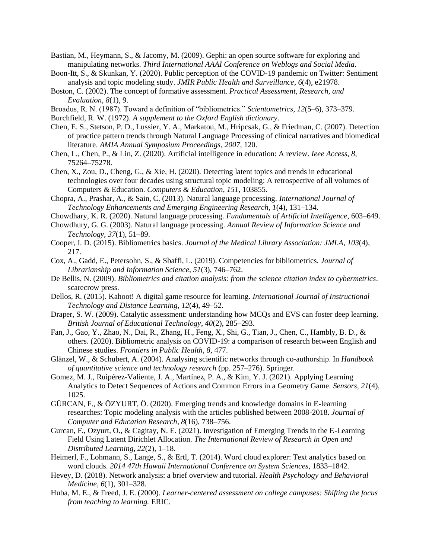- Bastian, M., Heymann, S., & Jacomy, M. (2009). Gephi: an open source software for exploring and manipulating networks. *Third International AAAI Conference on Weblogs and Social Media*.
- Boon-Itt, S., & Skunkan, Y. (2020). Public perception of the COVID-19 pandemic on Twitter: Sentiment analysis and topic modeling study. *JMIR Public Health and Surveillance*, *6*(4), e21978.
- Boston, C. (2002). The concept of formative assessment. *Practical Assessment, Research, and Evaluation*, *8*(1), 9.
- Broadus, R. N. (1987). Toward a definition of "bibliometrics." *Scientometrics*, *12*(5–6), 373–379.
- Burchfield, R. W. (1972). *A supplement to the Oxford English dictionary*.
- Chen, E. S., Stetson, P. D., Lussier, Y. A., Markatou, M., Hripcsak, G., & Friedman, C. (2007). Detection of practice pattern trends through Natural Language Processing of clinical narratives and biomedical literature. *AMIA Annual Symposium Proceedings*, *2007*, 120.
- Chen, L., Chen, P., & Lin, Z. (2020). Artificial intelligence in education: A review. *Ieee Access*, *8*, 75264–75278.
- Chen, X., Zou, D., Cheng, G., & Xie, H. (2020). Detecting latent topics and trends in educational technologies over four decades using structural topic modeling: A retrospective of all volumes of Computers & Education. *Computers & Education*, *151*, 103855.
- Chopra, A., Prashar, A., & Sain, C. (2013). Natural language processing. *International Journal of Technology Enhancements and Emerging Engineering Research*, *1*(4), 131–134.
- Chowdhary, K. R. (2020). Natural language processing. *Fundamentals of Artificial Intelligence*, 603–649.
- Chowdhury, G. G. (2003). Natural language processing. *Annual Review of Information Science and Technology*, *37*(1), 51–89.
- Cooper, I. D. (2015). Bibliometrics basics. *Journal of the Medical Library Association: JMLA*, *103*(4), 217.
- Cox, A., Gadd, E., Petersohn, S., & Sbaffi, L. (2019). Competencies for bibliometrics. *Journal of Librarianship and Information Science*, *51*(3), 746–762.
- De Bellis, N. (2009). *Bibliometrics and citation analysis: from the science citation index to cybermetrics*. scarecrow press.
- Dellos, R. (2015). Kahoot! A digital game resource for learning. *International Journal of Instructional Technology and Distance Learning*, *12*(4), 49–52.
- Draper, S. W. (2009). Catalytic assessment: understanding how MCQs and EVS can foster deep learning. *British Journal of Educational Technology*, *40*(2), 285–293.
- Fan, J., Gao, Y., Zhao, N., Dai, R., Zhang, H., Feng, X., Shi, G., Tian, J., Chen, C., Hambly, B. D., & others. (2020). Bibliometric analysis on COVID-19: a comparison of research between English and Chinese studies. *Frontiers in Public Health*, *8*, 477.
- Glänzel, W., & Schubert, A. (2004). Analysing scientific networks through co-authorship. In *Handbook of quantitative science and technology research* (pp. 257–276). Springer.
- Gomez, M. J., Ruipérez-Valiente, J. A., Martínez, P. A., & Kim, Y. J. (2021). Applying Learning Analytics to Detect Sequences of Actions and Common Errors in a Geometry Game. *Sensors*, *21*(4), 1025.
- GÜRCAN, F., & ÖZYURT, Ö. (2020). Emerging trends and knowledge domains in E-learning researches: Topic modeling analysis with the articles published between 2008-2018. *Journal of Computer and Education Research*, *8*(16), 738–756.
- Gurcan, F., Ozyurt, O., & Cagitay, N. E. (2021). Investigation of Emerging Trends in the E-Learning Field Using Latent Dirichlet Allocation. *The International Review of Research in Open and Distributed Learning*, *22*(2), 1–18.
- Heimerl, F., Lohmann, S., Lange, S., & Ertl, T. (2014). Word cloud explorer: Text analytics based on word clouds. *2014 47th Hawaii International Conference on System Sciences*, 1833–1842.
- Hevey, D. (2018). Network analysis: a brief overview and tutorial. *Health Psychology and Behavioral Medicine*, *6*(1), 301–328.
- Huba, M. E., & Freed, J. E. (2000). *Learner-centered assessment on college campuses: Shifting the focus from teaching to learning.* ERIC.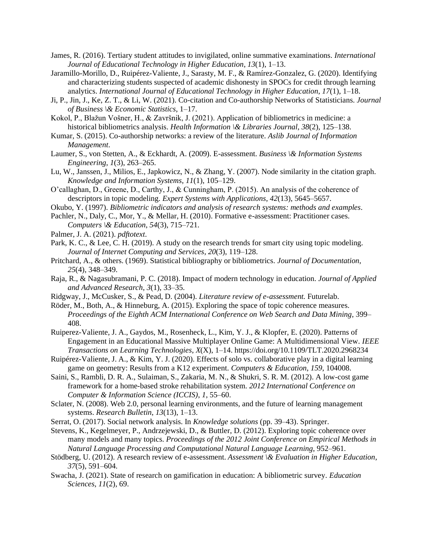- James, R. (2016). Tertiary student attitudes to invigilated, online summative examinations. *International Journal of Educational Technology in Higher Education*, *13*(1), 1–13.
- Jaramillo-Morillo, D., Ruipérez-Valiente, J., Sarasty, M. F., & Ramírez-Gonzalez, G. (2020). Identifying and characterizing students suspected of academic dishonesty in SPOCs for credit through learning analytics. *International Journal of Educational Technology in Higher Education*, *17*(1), 1–18.
- Ji, P., Jin, J., Ke, Z. T., & Li, W. (2021). Co-citation and Co-authorship Networks of Statisticians. *Journal of Business \& Economic Statistics*, 1–17.
- Kokol, P., Blažun Vošner, H., & Završnik, J. (2021). Application of bibliometrics in medicine: a historical bibliometrics analysis. *Health Information \& Libraries Journal*, *38*(2), 125–138.
- Kumar, S. (2015). Co-authorship networks: a review of the literature. *Aslib Journal of Information Management*.
- Laumer, S., von Stetten, A., & Eckhardt, A. (2009). E-assessment. *Business \& Information Systems Engineering*, *1*(3), 263–265.
- Lu, W., Janssen, J., Milios, E., Japkowicz, N., & Zhang, Y. (2007). Node similarity in the citation graph. *Knowledge and Information Systems*, *11*(1), 105–129.
- O'callaghan, D., Greene, D., Carthy, J., & Cunningham, P. (2015). An analysis of the coherence of descriptors in topic modeling. *Expert Systems with Applications*, *42*(13), 5645–5657.
- Okubo, Y. (1997). *Bibliometric indicators and analysis of research systems: methods and examples*.
- Pachler, N., Daly, C., Mor, Y., & Mellar, H. (2010). Formative e-assessment: Practitioner cases. *Computers \& Education*, *54*(3), 715–721.
- Palmer, J. A. (2021). *pdftotext*.
- Park, K. C., & Lee, C. H. (2019). A study on the research trends for smart city using topic modeling. *Journal of Internet Computing and Services*, *20*(3), 119–128.
- Pritchard, A., & others. (1969). Statistical bibliography or bibliometrics. *Journal of Documentation*, *25*(4), 348–349.
- Raja, R., & Nagasubramani, P. C. (2018). Impact of modern technology in education. *Journal of Applied and Advanced Research*, *3*(1), 33–35.
- Ridgway, J., McCusker, S., & Pead, D. (2004). *Literature review of e-assessment.* Futurelab.
- Röder, M., Both, A., & Hinneburg, A. (2015). Exploring the space of topic coherence measures. *Proceedings of the Eighth ACM International Conference on Web Search and Data Mining*, 399– 408.
- Ruiperez-Valiente, J. A., Gaydos, M., Rosenheck, L., Kim, Y. J., & Klopfer, E. (2020). Patterns of Engagement in an Educational Massive Multiplayer Online Game: A Multidimensional View. *IEEE Transactions on Learning Technologies*, *X*(X), 1–14. https://doi.org/10.1109/TLT.2020.2968234
- Ruipérez-Valiente, J. A., & Kim, Y. J. (2020). Effects of solo vs. collaborative play in a digital learning game on geometry: Results from a K12 experiment. *Computers & Education*, *159*, 104008.
- Saini, S., Rambli, D. R. A., Sulaiman, S., Zakaria, M. N., & Shukri, S. R. M. (2012). A low-cost game framework for a home-based stroke rehabilitation system. *2012 International Conference on Computer & Information Science (ICCIS)*, *1*, 55–60.
- Sclater, N. (2008). Web 2.0, personal learning environments, and the future of learning management systems. *Research Bulletin*, *13*(13), 1–13.
- Serrat, O. (2017). Social network analysis. In *Knowledge solutions* (pp. 39–43). Springer.
- Stevens, K., Kegelmeyer, P., Andrzejewski, D., & Buttler, D. (2012). Exploring topic coherence over many models and many topics. *Proceedings of the 2012 Joint Conference on Empirical Methods in Natural Language Processing and Computational Natural Language Learning*, 952–961.
- Stödberg, U. (2012). A research review of e-assessment. *Assessment \& Evaluation in Higher Education*, *37*(5), 591–604.
- Swacha, J. (2021). State of research on gamification in education: A bibliometric survey. *Education Sciences*, *11*(2), 69.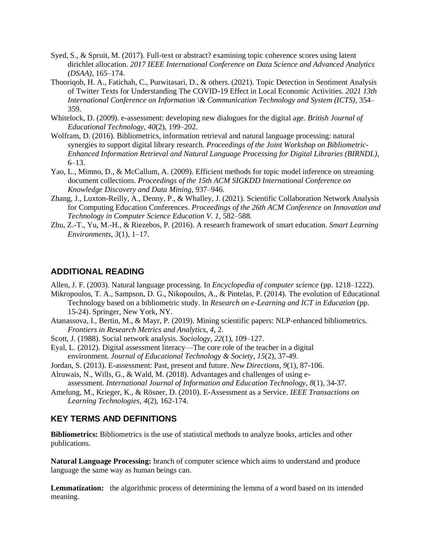- Syed, S., & Spruit, M. (2017). Full-text or abstract? examining topic coherence scores using latent dirichlet allocation. *2017 IEEE International Conference on Data Science and Advanced Analytics (DSAA)*, 165–174.
- Thooriqoh, H. A., Fatichah, C., Purwitasari, D., & others. (2021). Topic Detection in Sentiment Analysis of Twitter Texts for Understanding The COVID-19 Effect in Local Economic Activities. *2021 13th International Conference on Information \& Communication Technology and System (ICTS)*, 354– 359.
- Whitelock, D. (2009). e-assessment: developing new dialogues for the digital age. *British Journal of Educational Technology*, *40*(2), 199–202.
- Wolfram, D. (2016). Bibliometrics, information retrieval and natural language processing: natural synergies to support digital library research. *Proceedings of the Joint Workshop on Bibliometric-Enhanced Information Retrieval and Natural Language Processing for Digital Libraries (BIRNDL)*, 6–13.
- Yao, L., Mimno, D., & McCallum, A. (2009). Efficient methods for topic model inference on streaming document collections. *Proceedings of the 15th ACM SIGKDD International Conference on Knowledge Discovery and Data Mining*, 937–946.
- Zhang, J., Luxton-Reilly, A., Denny, P., & Whalley, J. (2021). Scientific Collaboration Network Analysis for Computing Education Conferences. *Proceedings of the 26th ACM Conference on Innovation and Technology in Computer Science Education V. 1*, 582–588.
- Zhu, Z.-T., Yu, M.-H., & Riezebos, P. (2016). A research framework of smart education. *Smart Learning Environments*, *3*(1), 1–17.

#### **ADDITIONAL READING**

Allen, J. F. (2003). Natural language processing. In *Encyclopedia of computer science* (pp. 1218–1222).

- Mikropoulos, T. A., Sampson, D. G., Nikopoulos, A., & Pintelas, P. (2014). The evolution of Educational Technology based on a bibliometric study. In *Research on e-Learning and ICT in Education* (pp. 15-24). Springer, New York, NY.
- Atanassova, I., Bertin, M., & Mayr, P. (2019). Mining scientific papers: NLP-enhanced bibliometrics. *Frontiers in Research Metrics and Analytics*, *4*, 2.
- Scott, J. (1988). Social network analysis. *Sociology*, *22*(1), 109–127.
- Eyal, L. (2012). Digital assessment literacy—The core role of the teacher in a digital environment. *Journal of Educational Technology & Society*, *15*(2), 37-49.
- Jordan, S. (2013). E-assessment: Past, present and future. *New Directions*, *9*(1), 87-106.
- Alruwais, N., Wills, G., & Wald, M. (2018). Advantages and challenges of using eassessment. *International Journal of Information and Education Technology*, *8*(1), 34-37.
- Amelung, M., Krieger, K., & Rösner, D. (2010). E-Assessment as a Service. *IEEE Transactions on Learning Technologies*, *4*(2), 162-174.

### **KEY TERMS AND DEFINITIONS**

**Bibliometrics:** Bibliometrics is the use of statistical methods to analyze books, articles and other publications.

**Natural Language Processing:** branch of computer science which aims to understand and produce language the same way as human beings can.

**Lemmatization:** the algorithmic process of determining the lemma of a word based on its intended meaning.